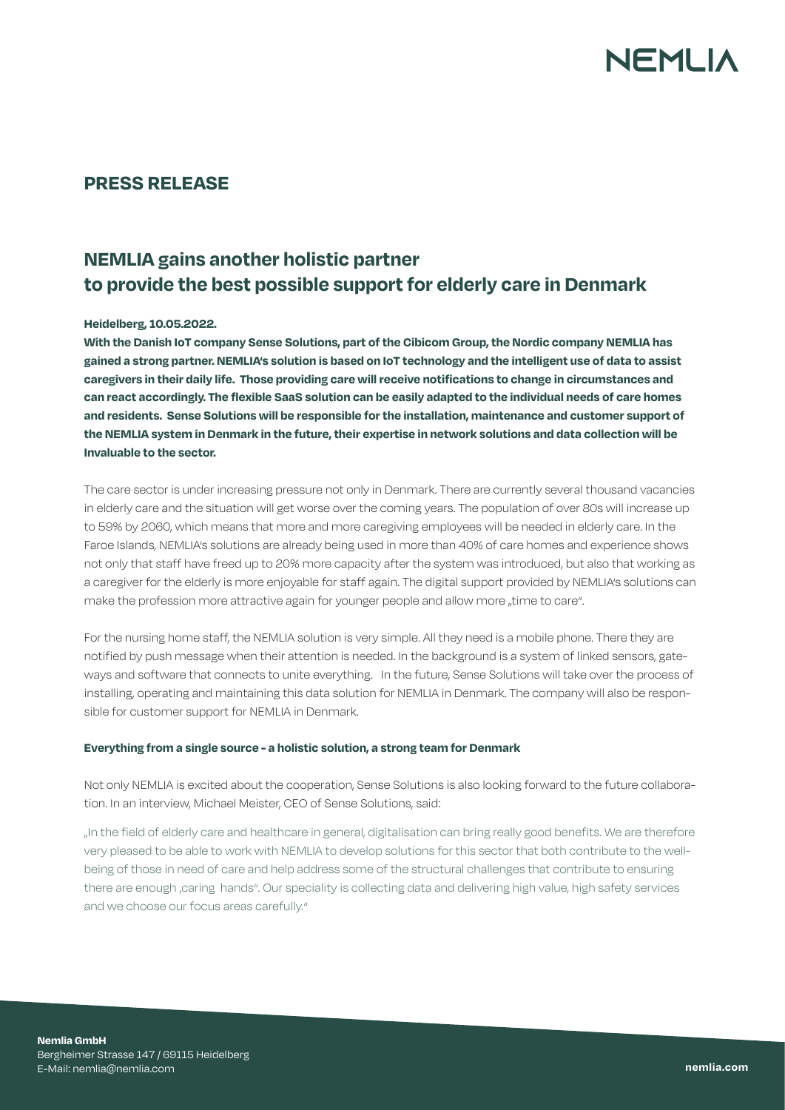# NFMI IA

### **PRESS RELEASE**

## **NEMLIA gains another holistic partner to provide the best possible support for elderly care in Denmark**

#### **Heidelberg, 10.05.2022.**

**With the Danish IoT company Sense Solutions, part of the Cibicom Group, the Nordic company NEMLIA has gained a strong partner. NEMLIA's solution is based on IoT technology and the intelligent use of data to assist caregivers in their daily life. Those providing care will receive notifications to change in circumstances and can react accordingly. The flexible SaaS solution can be easily adapted to the individual needs of care homes and residents. Sense Solutions will be responsible for the installation, maintenance and customer support of the NEMLIA system in Denmark in the future, their expertise in network solutions and data collection will be Invaluable to the sector.** 

The care sector is under increasing pressure not only in Denmark. There are currently several thousand vacancies in elderly care and the situation will get worse over the coming years. The population of over 80s will increase up to 59% by 2060, which means that more and more caregiving employees will be needed in elderly care. In the Faroe Islands, NEMLIA's solutions are already being used in more than 40% of care homes and experience shows not only that staff have freed up to 20% more capacity after the system was introduced, but also that working as a caregiver for the elderly is more enjoyable for staff again. The digital support provided by NEMLIA's solutions can make the profession more attractive again for younger people and allow more "time to care".

For the nursing home staff, the NEMLIA solution is very simple. All they need is a mobile phone. There they are notified by push message when their attention is needed. In the background is a system of linked sensors, gateways and software that connects to unite everything. In the future, Sense Solutions will take over the process of installing, operating and maintaining this data solution for NEMLIA in Denmark. The company will also be responsible for customer support for NEMLIA in Denmark.

#### **Everything from a single source - a holistic solution, a strong team for Denmark**

Not only NEMLIA is excited about the cooperation, Sense Solutions is also looking forward to the future collaboration. In an interview, Michael Meister, CEO of Sense Solutions, said:

"In the field of elderly care and healthcare in general, digitalisation can bring really good benefits. We are therefore very pleased to be able to work with NEMLIA to develop solutions for this sector that both contribute to the wellbeing of those in need of care and help address some of the structural challenges that contribute to ensuring there are enough ,caring hands". Our speciality is collecting data and delivering high value, high safety services and we choose our focus areas carefully."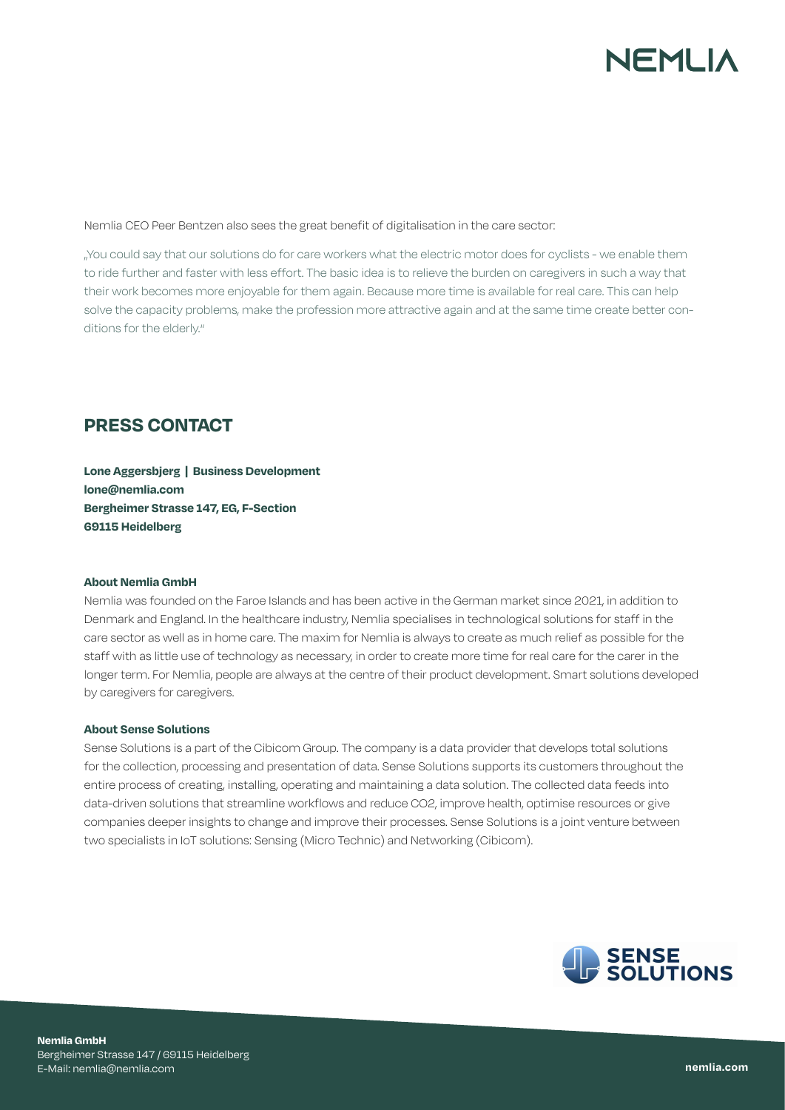# NFMI IA

Nemlia CEO Peer Bentzen also sees the great benefit of digitalisation in the care sector:

"You could say that our solutions do for care workers what the electric motor does for cyclists - we enable them to ride further and faster with less effort. The basic idea is to relieve the burden on caregivers in such a way that their work becomes more enjoyable for them again. Because more time is available for real care. This can help solve the capacity problems, make the profession more attractive again and at the same time create better conditions for the elderly."

### **PRESS CONTACT**

**Lone Aggersbjerg | Business Development lone@nemlia.com Bergheimer Strasse 147, EG, F-Section 69115 Heidelberg**

#### **About Nemlia GmbH**

Nemlia was founded on the Faroe Islands and has been active in the German market since 2021, in addition to Denmark and England. In the healthcare industry, Nemlia specialises in technological solutions for staff in the care sector as well as in home care. The maxim for Nemlia is always to create as much relief as possible for the staff with as little use of technology as necessary, in order to create more time for real care for the carer in the longer term. For Nemlia, people are always at the centre of their product development. Smart solutions developed by caregivers for caregivers.

#### **About Sense Solutions**

Sense Solutions is a part of the Cibicom Group. The company is a data provider that develops total solutions for the collection, processing and presentation of data. Sense Solutions supports its customers throughout the entire process of creating, installing, operating and maintaining a data solution. The collected data feeds into data-driven solutions that streamline workflows and reduce CO2, improve health, optimise resources or give companies deeper insights to change and improve their processes. Sense Solutions is a joint venture between two specialists in IoT solutions: Sensing (Micro Technic) and Networking (Cibicom).